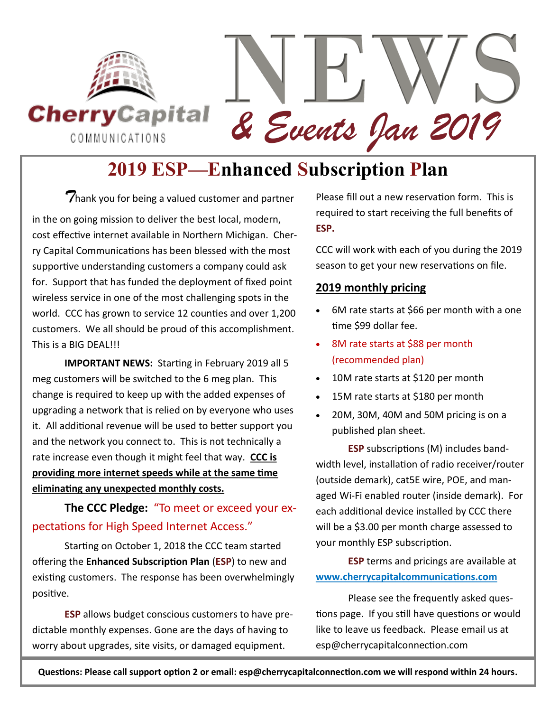

*& Events Jan 2019*

### **2019 ESP—Enhanced Subscription Plan**

*T*hank you for being a valued customer and partner in the on going mission to deliver the best local, modern, cost effective internet available in Northern Michigan. Cherry Capital Communications has been blessed with the most supportive understanding customers a company could ask for. Support that has funded the deployment of fixed point wireless service in one of the most challenging spots in the world. CCC has grown to service 12 counties and over 1,200 customers. We all should be proud of this accomplishment. This is a BIG DEAL!!!

**IMPORTANT NEWS:** Starting in February 2019 all 5 meg customers will be switched to the 6 meg plan. This change is required to keep up with the added expenses of upgrading a network that is relied on by everyone who uses it. All additional revenue will be used to better support you and the network you connect to. This is not technically a rate increase even though it might feel that way. **CCC is providing more internet speeds while at the same time eliminating any unexpected monthly costs.** 

**The CCC Pledge:** "To meet or exceed your expectations for High Speed Internet Access."

Starting on October 1, 2018 the CCC team started offering the **Enhanced Subscription Plan** (**ESP**) to new and existing customers. The response has been overwhelmingly positive.

**ESP** allows budget conscious customers to have predictable monthly expenses. Gone are the days of having to worry about upgrades, site visits, or damaged equipment.

Please fill out a new reservation form. This is required to start receiving the full benefits of **ESP.**

CCC will work with each of you during the 2019 season to get your new reservations on file.

#### **2019 monthly pricing**

- 6M rate starts at \$66 per month with a one time \$99 dollar fee.
- 8M rate starts at \$88 per month (recommended plan)
- 10M rate starts at \$120 per month
- 15M rate starts at \$180 per month
- 20M, 30M, 40M and 50M pricing is on a published plan sheet.

**ESP** subscriptions (M) includes bandwidth level, installation of radio receiver/router (outside demark), cat5E wire, POE, and managed Wi-Fi enabled router (inside demark). For each additional device installed by CCC there will be a \$3.00 per month charge assessed to your monthly ESP subscription.

**ESP** terms and pricings are available at **www.cherrycapitalcommunications.com**

Please see the frequently asked questions page. If you still have questions or would like to leave us feedback. Please email us at esp@cherrycapitalconnection.com

**Questions: Please call support option 2 or email: esp@cherrycapitalconnection.com we will respond within 24 hours.**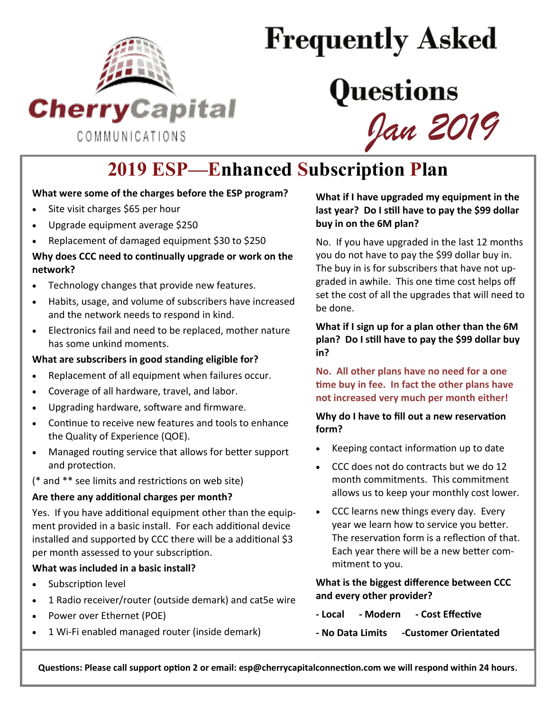

# **Frequently Asked**

## Questions *Jan 2019*

## **2019 ESP—Enhanced Subscription Plan**

#### **What were some of the charges before the ESP program?**

- Site visit charges \$65 per hour
- Upgrade equipment average \$250
- Replacement of damaged equipment \$30 to \$250

#### **Why does CCC need to continually upgrade or work on the network?**

- Technology changes that provide new features.
- Habits, usage, and volume of subscribers have increased and the network needs to respond in kind.
- Electronics fail and need to be replaced, mother nature has some unkind moments.

#### **What are subscribers in good standing eligible for?**

- Replacement of all equipment when failures occur.
- Coverage of all hardware, travel, and labor.
- Upgrading hardware, software and firmware.
- Continue to receive new features and tools to enhance the Quality of Experience (QOE).
- Managed routing service that allows for better support and protection.

(\* and \*\* see limits and restrictions on web site)

#### **Are there any additional charges per month?**

Yes. If you have additional equipment other than the equipment provided in a basic install. For each additional device installed and supported by CCC there will be a additional \$3 per month assessed to your subscription.

#### **What was included in a basic install?**

- Subscription level
- 1 Radio receiver/router (outside demark) and cat5e wire
- Power over Ethernet (POE)
- 1 Wi-Fi enabled managed router (inside demark)

**What if I have upgraded my equipment in the last year? Do I still have to pay the \$99 dollar buy in on the 6M plan?**

No. If you have upgraded in the last 12 months you do not have to pay the \$99 dollar buy in. The buy in is for subscribers that have not upgraded in awhile. This one time cost helps off set the cost of all the upgrades that will need to be done.

**What if I sign up for a plan other than the 6M plan? Do I still have to pay the \$99 dollar buy in?**

**No. All other plans have no need for a one time buy in fee. In fact the other plans have not increased very much per month either!**

**Why do I have to fill out a new reservation form?**

- Keeping contact information up to date
- CCC does not do contracts but we do 12 month commitments. This commitment allows us to keep your monthly cost lower.
- CCC learns new things every day. Every year we learn how to service you better. The reservation form is a reflection of that. Each year there will be a new better commitment to you.

**What is the biggest difference between CCC and every other provider?**

- **- Local - Modern - Cost Effective**
- **- No Data Limits -Customer Orientated**

**Questions: Please call support option 2 or email: esp@cherrycapitalconnection.com we will respond within 24 hours.**